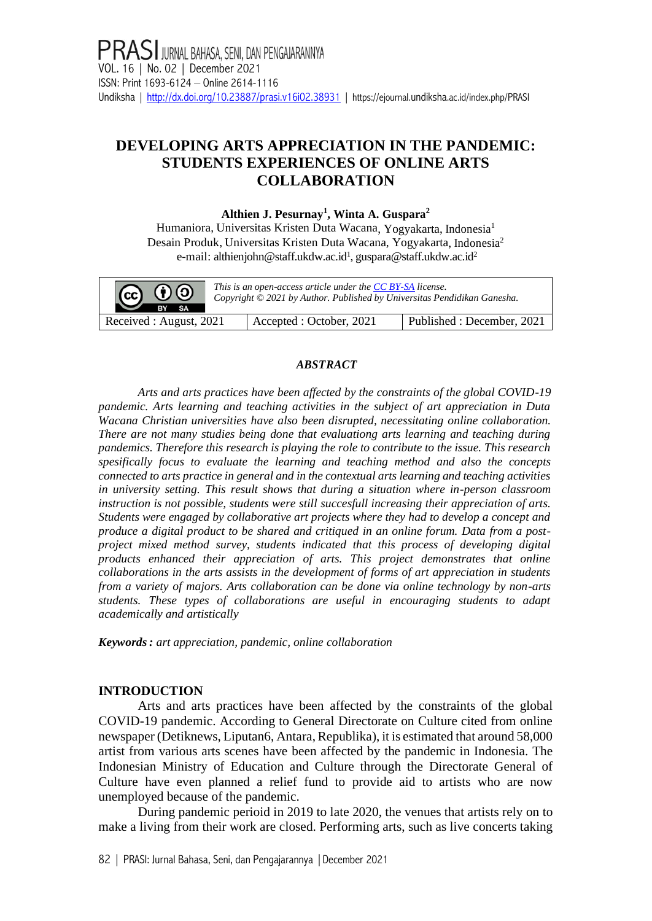# **DEVELOPING ARTS APPRECIATION IN THE PANDEMIC: STUDENTS EXPERIENCES OF ONLINE ARTS COLLABORATION**

### **Althien J. Pesurnay<sup>1</sup> , Winta A. Guspara<sup>2</sup>**

Humaniora, Universitas Kristen Duta Wacana, Yogyakarta, Indonesia<sup>1</sup> Desain Produk, Universitas Kristen Duta Wacana, Yogyakarta, Indonesia<sup>2</sup> e-mail: althienjohn@staff.ukdw.ac.id<sup>1</sup>, guspara@staff.ukdw.ac.id<sup>2</sup>

| $ G \t0$<br>RY<br>SA.   | This is an open-access article under the CC BY-SA license.<br>Copyright © 2021 by Author. Published by Universitas Pendidikan Ganesha. |                           |  |  |  |
|-------------------------|----------------------------------------------------------------------------------------------------------------------------------------|---------------------------|--|--|--|
| Received : August, 2021 | Accepted : October, 2021                                                                                                               | Published: December, 2021 |  |  |  |

#### *ABSTRACT*

*Arts and arts practices have been affected by the constraints of the global COVID-19 pandemic. Arts learning and teaching activities in the subject of art appreciation in Duta Wacana Christian universities have also been disrupted, necessitating online collaboration. There are not many studies being done that evaluationg arts learning and teaching during pandemics. Therefore this research is playing the role to contribute to the issue. This research spesifically focus to evaluate the learning and teaching method and also the concepts connected to arts practice in general and in the contextual arts learning and teaching activities in university setting. This result shows that during a situation where in-person classroom instruction is not possible, students were still succesfull increasing their appreciation of arts. Students were engaged by collaborative art projects where they had to develop a concept and produce a digital product to be shared and critiqued in an online forum. Data from a postproject mixed method survey, students indicated that this process of developing digital products enhanced their appreciation of arts. This project demonstrates that online collaborations in the arts assists in the development of forms of art appreciation in students from a variety of majors. Arts collaboration can be done via online technology by non-arts students. These types of collaborations are useful in encouraging students to adapt academically and artistically*

*Keywords: art appreciation, pandemic, online collaboration*

## **INTRODUCTION**

Arts and arts practices have been affected by the constraints of the global COVID-19 pandemic. According to General Directorate on Culture cited from online newspaper (Detiknews, Liputan6, Antara, Republika), it is estimated that around 58,000 artist from various arts scenes have been affected by the pandemic in Indonesia. The Indonesian Ministry of Education and Culture through the Directorate General of Culture have even planned a relief fund to provide aid to artists who are now unemployed because of the pandemic.

During pandemic perioid in 2019 to late 2020, the venues that artists rely on to make a living from their work are closed. Performing arts, such as live concerts taking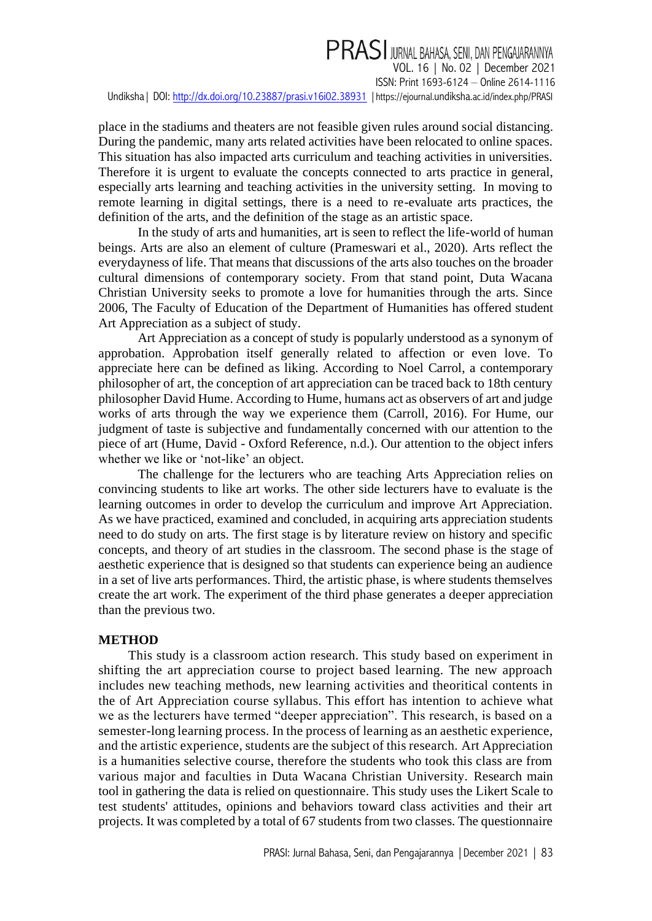PRASI JURNAL BAHASA, SENI, DAN PENGAJARANNYA VOL. 16 | No. 02 | December 2021 ISSN: Print 1693-6124 – Online 2614-1116 Undiksha| DOI:<http://dx.doi.org/10.23887/prasi.v16i02.38931> |https://ejournal.undiksha[.ac.id/index.php/PRASI](https://ejournal.undiksha.ac.id/index.php/PRASI)

place in the stadiums and theaters are not feasible given rules around social distancing. During the pandemic, many arts related activities have been relocated to online spaces. This situation has also impacted arts curriculum and teaching activities in universities. Therefore it is urgent to evaluate the concepts connected to arts practice in general, especially arts learning and teaching activities in the university setting. In moving to remote learning in digital settings, there is a need to re-evaluate arts practices, the definition of the arts, and the definition of the stage as an artistic space.

In the study of arts and humanities, art is seen to reflect the life-world of human beings. Arts are also an element of culture (Prameswari et al., 2020). Arts reflect the everydayness of life. That means that discussions of the arts also touches on the broader cultural dimensions of contemporary society. From that stand point, Duta Wacana Christian University seeks to promote a love for humanities through the arts. Since 2006, The Faculty of Education of the Department of Humanities has offered student Art Appreciation as a subject of study.

Art Appreciation as a concept of study is popularly understood as a synonym of approbation. Approbation itself generally related to affection or even love. To appreciate here can be defined as liking. According to Noel Carrol, a contemporary philosopher of art, the conception of art appreciation can be traced back to 18th century philosopher David Hume. According to Hume, humans act as observers of art and judge works of arts through the way we experience them (Carroll, 2016). For Hume, our judgment of taste is subjective and fundamentally concerned with our attention to the piece of art (Hume, David - Oxford Reference, n.d.). Our attention to the object infers whether we like or 'not-like' an object.

The challenge for the lecturers who are teaching Arts Appreciation relies on convincing students to like art works. The other side lecturers have to evaluate is the learning outcomes in order to develop the curriculum and improve Art Appreciation. As we have practiced, examined and concluded, in acquiring arts appreciation students need to do study on arts. The first stage is by literature review on history and specific concepts, and theory of art studies in the classroom. The second phase is the stage of aesthetic experience that is designed so that students can experience being an audience in a set of live arts performances. Third, the artistic phase, is where students themselves create the art work. The experiment of the third phase generates a deeper appreciation than the previous two.

### **METHOD**

This study is a classroom action research. This study based on experiment in shifting the art appreciation course to project based learning. The new approach includes new teaching methods, new learning activities and theoritical contents in the of Art Appreciation course syllabus. This effort has intention to achieve what we as the lecturers have termed "deeper appreciation". This research, is based on a semester-long learning process. In the process of learning as an aesthetic experience, and the artistic experience, students are the subject of this research. Art Appreciation is a humanities selective course, therefore the students who took this class are from various major and faculties in Duta Wacana Christian University. Research main tool in gathering the data is relied on questionnaire. This study uses the Likert Scale to test students' attitudes, opinions and behaviors toward class activities and their art projects. It was completed by a total of 67 students from two classes. The questionnaire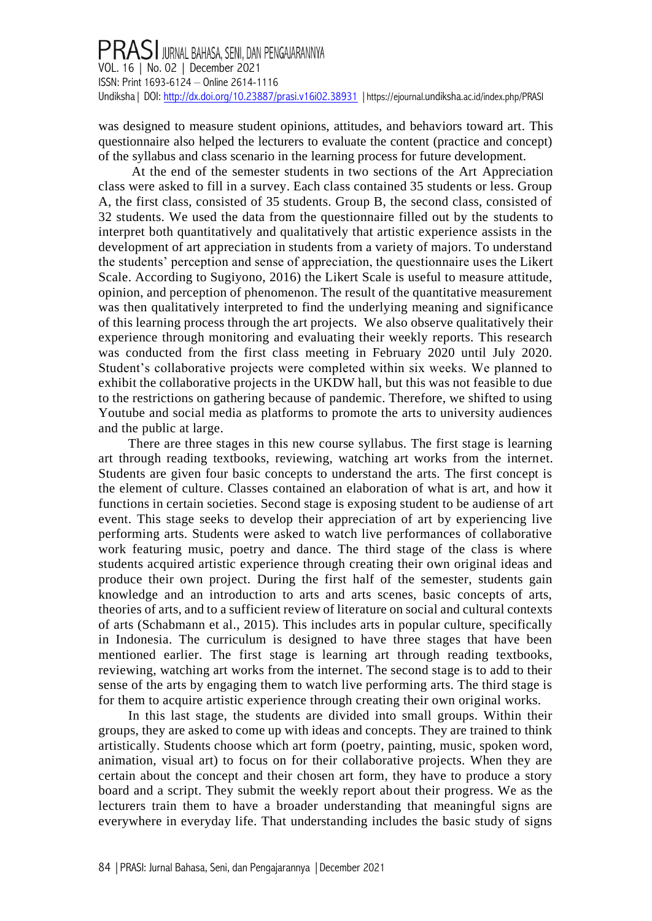was designed to measure student opinions, attitudes, and behaviors toward art. This questionnaire also helped the lecturers to evaluate the content (practice and concept) of the syllabus and class scenario in the learning process for future development.

At the end of the semester students in two sections of the Art Appreciation class were asked to fill in a survey. Each class contained 35 students or less. Group A, the first class, consisted of 35 students. Group B, the second class, consisted of 32 students. We used the data from the questionnaire filled out by the students to interpret both quantitatively and qualitatively that artistic experience assists in the development of art appreciation in students from a variety of majors. To understand the students' perception and sense of appreciation, the questionnaire uses the Likert Scale. According to Sugiyono, 2016) the Likert Scale is useful to measure attitude, opinion, and perception of phenomenon. The result of the quantitative measurement was then qualitatively interpreted to find the underlying meaning and significance of this learning process through the art projects. We also observe qualitatively their experience through monitoring and evaluating their weekly reports. This research was conducted from the first class meeting in February 2020 until July 2020. Student's collaborative projects were completed within six weeks. We planned to exhibit the collaborative projects in the UKDW hall, but this was not feasible to due to the restrictions on gathering because of pandemic. Therefore, we shifted to using Youtube and social media as platforms to promote the arts to university audiences and the public at large.

There are three stages in this new course syllabus. The first stage is learning art through reading textbooks, reviewing, watching art works from the internet. Students are given four basic concepts to understand the arts. The first concept is the element of culture. Classes contained an elaboration of what is art, and how it functions in certain societies. Second stage is exposing student to be audiense of art event. This stage seeks to develop their appreciation of art by experiencing live performing arts. Students were asked to watch live performances of collaborative work featuring music, poetry and dance. The third stage of the class is where students acquired artistic experience through creating their own original ideas and produce their own project. During the first half of the semester, students gain knowledge and an introduction to arts and arts scenes, basic concepts of arts, theories of arts, and to a sufficient review of literature on social and cultural contexts of arts (Schabmann et al., 2015). This includes arts in popular culture, specifically in Indonesia. The curriculum is designed to have three stages that have been mentioned earlier. The first stage is learning art through reading textbooks, reviewing, watching art works from the internet. The second stage is to add to their sense of the arts by engaging them to watch live performing arts. The third stage is for them to acquire artistic experience through creating their own original works.

In this last stage, the students are divided into small groups. Within their groups, they are asked to come up with ideas and concepts. They are trained to think artistically. Students choose which art form (poetry, painting, music, spoken word, animation, visual art) to focus on for their collaborative projects. When they are certain about the concept and their chosen art form, they have to produce a story board and a script. They submit the weekly report about their progress. We as the lecturers train them to have a broader understanding that meaningful signs are everywhere in everyday life. That understanding includes the basic study of signs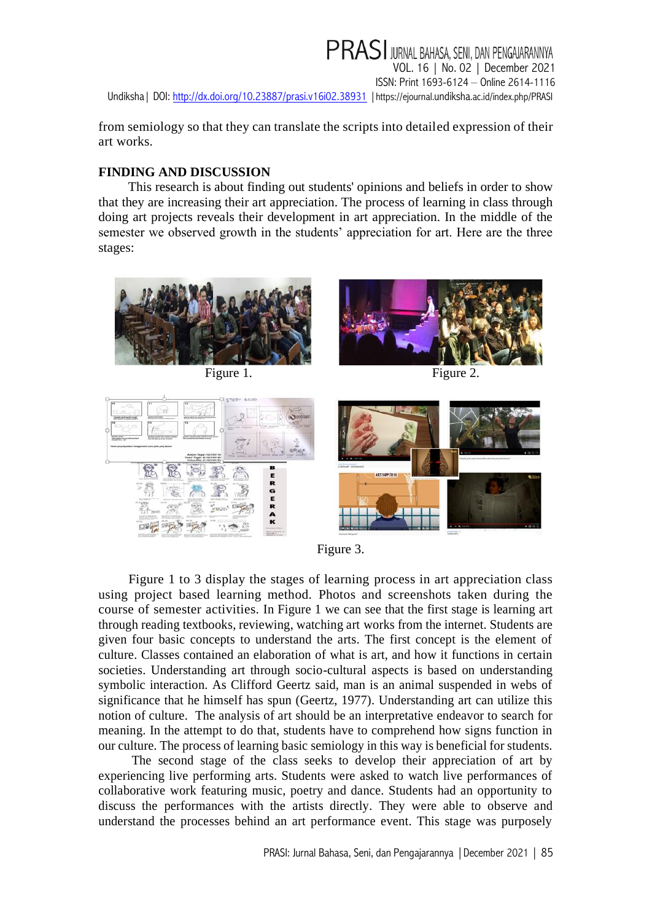PRASI JURNAL BAHASA, SENI, DAN PENGAJARANNYA VOL. 16 | No. 02 | December 2021 ISSN: Print 1693-6124 – Online 2614-1116 Undiksha | DOI:<http://dx.doi.org/10.23887/prasi.v16i02.38931> | https://ejournal.undiksha[.ac.id/index.php/PRASI](https://ejournal.undiksha.ac.id/index.php/PRASI)

from semiology so that they can translate the scripts into detailed expression of their art works.

## **FINDING AND DISCUSSION**

This research is about finding out students' opinions and beliefs in order to show that they are increasing their art appreciation. The process of learning in class through doing art projects reveals their development in art appreciation. In the middle of the semester we observed growth in the students' appreciation for art. Here are the three stages:



Figure 1. Figure 2.



Figure 3.

Figure 1 to 3 display the stages of learning process in art appreciation class using project based learning method. Photos and screenshots taken during the course of semester activities. In Figure 1 we can see that the first stage is learning art through reading textbooks, reviewing, watching art works from the internet. Students are given four basic concepts to understand the arts. The first concept is the element of culture. Classes contained an elaboration of what is art, and how it functions in certain societies. Understanding art through socio-cultural aspects is based on understanding symbolic interaction. As Clifford Geertz said, man is an animal suspended in webs of significance that he himself has spun (Geertz, 1977). Understanding art can utilize this notion of culture. The analysis of art should be an interpretative endeavor to search for meaning. In the attempt to do that, students have to comprehend how signs function in our culture. The process of learning basic semiology in this way is beneficial for students.

The second stage of the class seeks to develop their appreciation of art by experiencing live performing arts. Students were asked to watch live performances of collaborative work featuring music, poetry and dance. Students had an opportunity to discuss the performances with the artists directly. They were able to observe and understand the processes behind an art performance event. This stage was purposely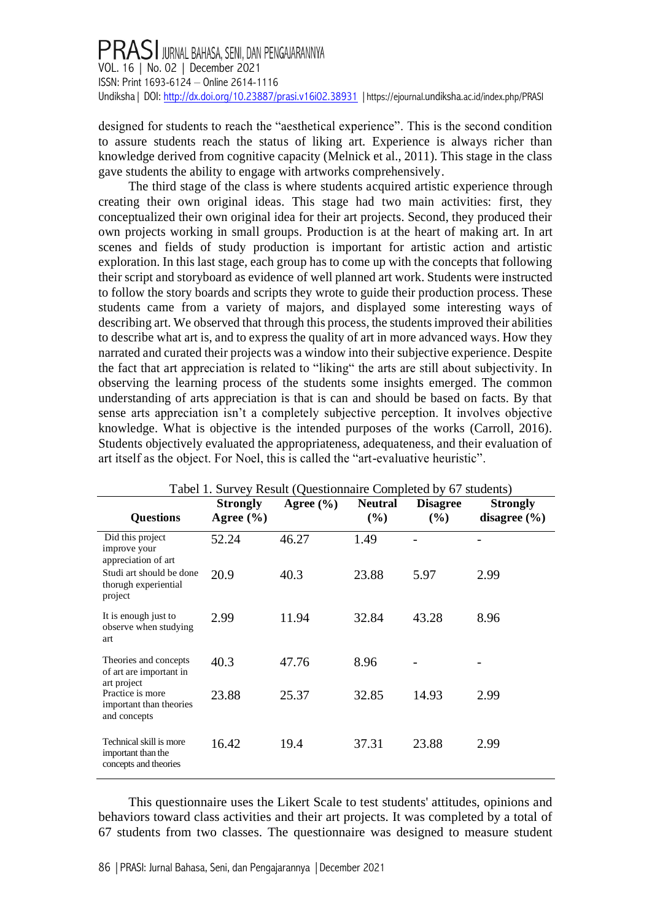designed for students to reach the "aesthetical experience". This is the second condition to assure students reach the status of liking art. Experience is always richer than knowledge derived from cognitive capacity (Melnick et al., 2011). This stage in the class gave students the ability to engage with artworks comprehensively.

The third stage of the class is where students acquired artistic experience through creating their own original ideas. This stage had two main activities: first, they conceptualized their own original idea for their art projects. Second, they produced their own projects working in small groups. Production is at the heart of making art. In art scenes and fields of study production is important for artistic action and artistic exploration. In this last stage, each group has to come up with the concepts that following their script and storyboard as evidence of well planned art work. Students were instructed to follow the story boards and scripts they wrote to guide their production process. These students came from a variety of majors, and displayed some interesting ways of describing art. We observed that through this process, the students improved their abilities to describe what art is, and to express the quality of art in more advanced ways. How they narrated and curated their projects was a window into their subjective experience. Despite the fact that art appreciation is related to "liking" the arts are still about subjectivity. In observing the learning process of the students some insights emerged. The common understanding of arts appreciation is that is can and should be based on facts. By that sense arts appreciation isn't a completely subjective perception. It involves objective knowledge. What is objective is the intended purposes of the works (Carroll, 2016). Students objectively evaluated the appropriateness, adequateness, and their evaluation of art itself as the object. For Noel, this is called the "art-evaluative heuristic".

| Tabel 1. Survey Result (Questionnaire Completed by 67 students)        |                                  |               |                          |                        |                                     |  |  |
|------------------------------------------------------------------------|----------------------------------|---------------|--------------------------|------------------------|-------------------------------------|--|--|
| <b>Questions</b>                                                       | <b>Strongly</b><br>Agree $(\% )$ | Agree $(\% )$ | <b>Neutral</b><br>$(\%)$ | <b>Disagree</b><br>(%) | <b>Strongly</b><br>disagree $(\% )$ |  |  |
| Did this project<br>improve your<br>appreciation of art                | 52.24                            | 46.27         | 1.49                     |                        |                                     |  |  |
| Studi art should be done<br>thorugh experiential<br>project            | 20.9                             | 40.3          | 23.88                    | 5.97                   | 2.99                                |  |  |
| It is enough just to<br>observe when studying<br>art                   | 2.99                             | 11.94         | 32.84                    | 43.28                  | 8.96                                |  |  |
| Theories and concepts<br>of art are important in<br>art project        | 40.3                             | 47.76         | 8.96                     |                        |                                     |  |  |
| Practice is more<br>important than theories<br>and concepts            | 23.88                            | 25.37         | 32.85                    | 14.93                  | 2.99                                |  |  |
| Technical skill is more<br>important than the<br>concepts and theories | 16.42                            | 19.4          | 37.31                    | 23.88                  | 2.99                                |  |  |

This questionnaire uses the Likert Scale to test students' attitudes, opinions and behaviors toward class activities and their art projects. It was completed by a total of 67 students from two classes. The questionnaire was designed to measure student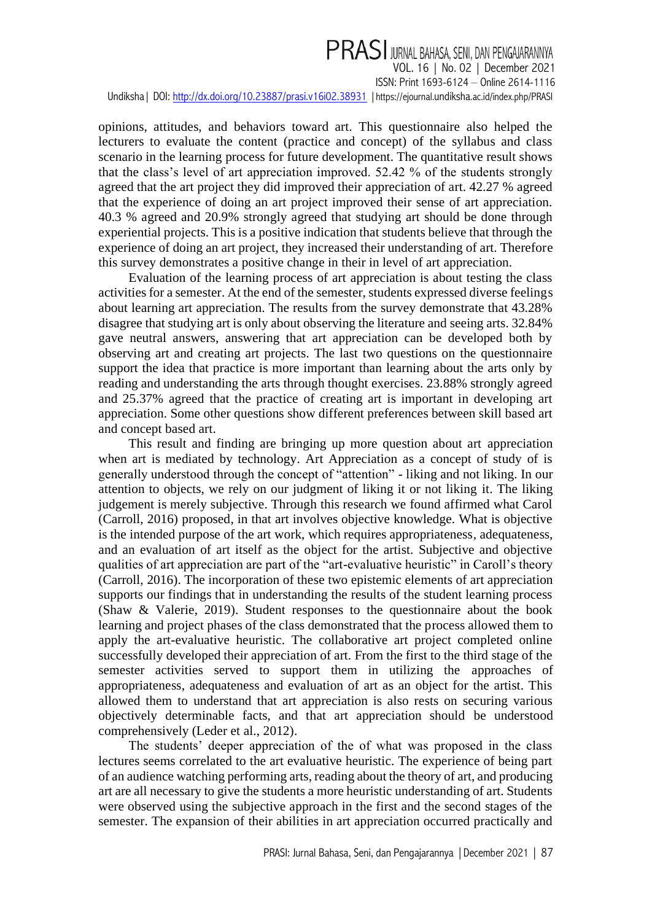# **PRASI** JURNAL BAHASA, SENI, DAN PENGAJARANNYA VOL. 16 | No. 02 | December 2021 ISSN: Print 1693-6124 – Online 2614-1116 Undiksha | DOI:<http://dx.doi.org/10.23887/prasi.v16i02.38931> | https://ejournal.undiksha[.ac.id/index.php/PRASI](https://ejournal.undiksha.ac.id/index.php/PRASI)

opinions, attitudes, and behaviors toward art. This questionnaire also helped the lecturers to evaluate the content (practice and concept) of the syllabus and class scenario in the learning process for future development. The quantitative result shows that the class's level of art appreciation improved. 52.42 % of the students strongly agreed that the art project they did improved their appreciation of art. 42.27 % agreed that the experience of doing an art project improved their sense of art appreciation. 40.3 % agreed and 20.9% strongly agreed that studying art should be done through experiential projects. This is a positive indication that students believe that through the experience of doing an art project, they increased their understanding of art. Therefore this survey demonstrates a positive change in their in level of art appreciation.

Evaluation of the learning process of art appreciation is about testing the class activities for a semester. At the end of the semester, students expressed diverse feelings about learning art appreciation. The results from the survey demonstrate that 43.28% disagree that studying art is only about observing the literature and seeing arts. 32.84% gave neutral answers, answering that art appreciation can be developed both by observing art and creating art projects. The last two questions on the questionnaire support the idea that practice is more important than learning about the arts only by reading and understanding the arts through thought exercises. 23.88% strongly agreed and 25.37% agreed that the practice of creating art is important in developing art appreciation. Some other questions show different preferences between skill based art and concept based art.

This result and finding are bringing up more question about art appreciation when art is mediated by technology. Art Appreciation as a concept of study of is generally understood through the concept of "attention" - liking and not liking. In our attention to objects, we rely on our judgment of liking it or not liking it. The liking judgement is merely subjective. Through this research we found affirmed what Carol (Carroll, 2016) proposed, in that art involves objective knowledge. What is objective is the intended purpose of the art work, which requires appropriateness, adequateness, and an evaluation of art itself as the object for the artist. Subjective and objective qualities of art appreciation are part of the "art-evaluative heuristic" in Caroll's theory (Carroll, 2016). The incorporation of these two epistemic elements of art appreciation supports our findings that in understanding the results of the student learning process (Shaw & Valerie, 2019). Student responses to the questionnaire about the book learning and project phases of the class demonstrated that the process allowed them to apply the art-evaluative heuristic. The collaborative art project completed online successfully developed their appreciation of art. From the first to the third stage of the semester activities served to support them in utilizing the approaches of appropriateness, adequateness and evaluation of art as an object for the artist. This allowed them to understand that art appreciation is also rests on securing various objectively determinable facts, and that art appreciation should be understood comprehensively (Leder et al., 2012).

The students' deeper appreciation of the of what was proposed in the class lectures seems correlated to the art evaluative heuristic. The experience of being part of an audience watching performing arts, reading about the theory of art, and producing art are all necessary to give the students a more heuristic understanding of art. Students were observed using the subjective approach in the first and the second stages of the semester. The expansion of their abilities in art appreciation occurred practically and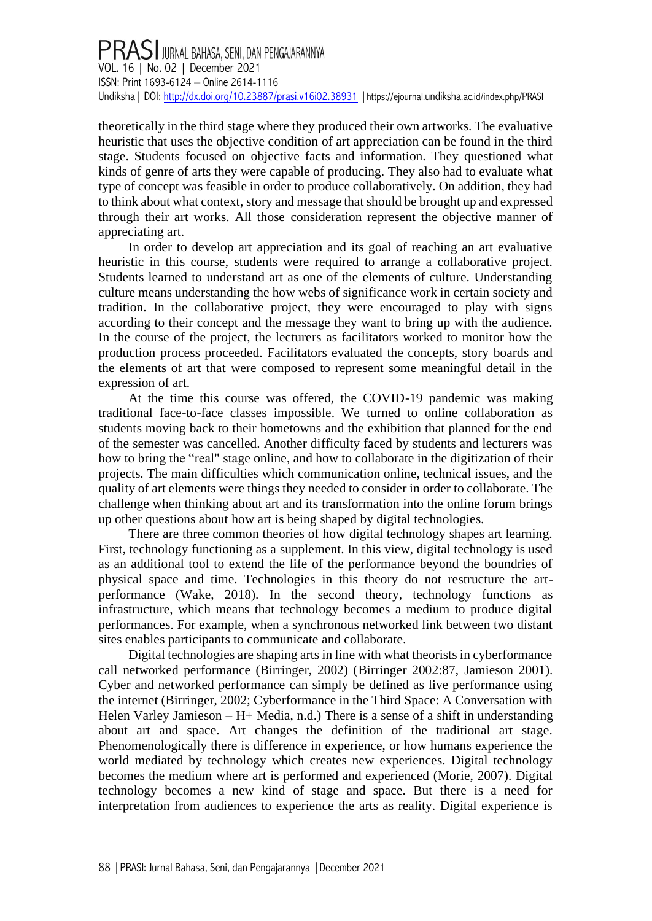# PRASI JURNAL BAHASA, SENI, DAN PENGAJARANNYA<br>VOL. 16 | No. 02 | December 2021 ISSN: Print 1693-6124 – Online 2614-1116 Undiksha | DOI[: http://dx.doi.org/10.23887/prasi.v16i02.38931](http://dx.doi.org/10.23887/prasi.v16i02.38931) | https://ejournal.undiksha[.ac.id/index.php/PRASI](https://ejournal.undiksha.ac.id/index.php/PRASI)

theoretically in the third stage where they produced their own artworks. The evaluative heuristic that uses the objective condition of art appreciation can be found in the third stage. Students focused on objective facts and information. They questioned what kinds of genre of arts they were capable of producing. They also had to evaluate what type of concept was feasible in order to produce collaboratively. On addition, they had to think about what context, story and message that should be brought up and expressed through their art works. All those consideration represent the objective manner of appreciating art.

In order to develop art appreciation and its goal of reaching an art evaluative heuristic in this course, students were required to arrange a collaborative project. Students learned to understand art as one of the elements of culture. Understanding culture means understanding the how webs of significance work in certain society and tradition. In the collaborative project, they were encouraged to play with signs according to their concept and the message they want to bring up with the audience. In the course of the project, the lecturers as facilitators worked to monitor how the production process proceeded. Facilitators evaluated the concepts, story boards and the elements of art that were composed to represent some meaningful detail in the expression of art.

At the time this course was offered, the COVID-19 pandemic was making traditional face-to-face classes impossible. We turned to online collaboration as students moving back to their hometowns and the exhibition that planned for the end of the semester was cancelled. Another difficulty faced by students and lecturers was how to bring the "real" stage online, and how to collaborate in the digitization of their projects. The main difficulties which communication online, technical issues, and the quality of art elements were things they needed to consider in order to collaborate. The challenge when thinking about art and its transformation into the online forum brings up other questions about how art is being shaped by digital technologies.

There are three common theories of how digital technology shapes art learning. First, technology functioning as a supplement. In this view, digital technology is used as an additional tool to extend the life of the performance beyond the boundries of physical space and time. Technologies in this theory do not restructure the artperformance (Wake, 2018). In the second theory, technology functions as infrastructure, which means that technology becomes a medium to produce digital performances. For example, when a synchronous networked link between two distant sites enables participants to communicate and collaborate.

Digital technologies are shaping arts in line with what theorists in cyberformance call networked performance (Birringer, 2002) (Birringer 2002:87, Jamieson 2001). Cyber and networked performance can simply be defined as live performance using the internet (Birringer, 2002; Cyberformance in the Third Space: A Conversation with Helen Varley Jamieson – H+ Media, n.d.) There is a sense of a shift in understanding about art and space. Art changes the definition of the traditional art stage. Phenomenologically there is difference in experience, or how humans experience the world mediated by technology which creates new experiences. Digital technology becomes the medium where art is performed and experienced (Morie, 2007). Digital technology becomes a new kind of stage and space. But there is a need for interpretation from audiences to experience the arts as reality. Digital experience is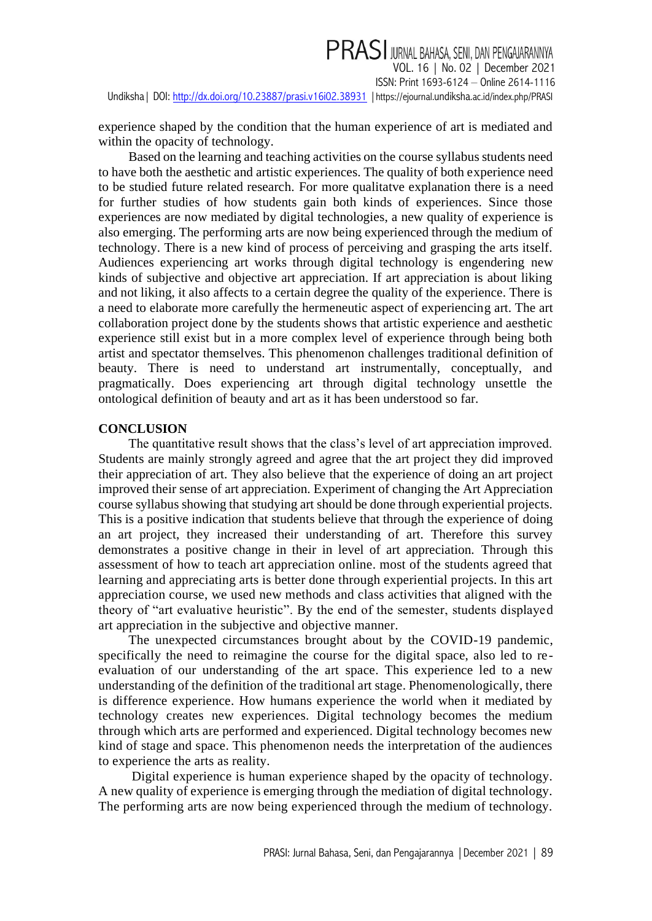PRASI JURNAL BAHASA, SENI, DAN PENGAJARANNYA VOL. 16 | No. 02 | December 2021 ISSN: Print 1693-6124 – Online 2614-1116 Undiksha| DOI:<http://dx.doi.org/10.23887/prasi.v16i02.38931> |https://ejournal.undiksha[.ac.id/index.php/PRASI](https://ejournal.undiksha.ac.id/index.php/PRASI)

experience shaped by the condition that the human experience of art is mediated and within the opacity of technology.

Based on the learning and teaching activities on the course syllabus students need to have both the aesthetic and artistic experiences. The quality of both experience need to be studied future related research. For more qualitatve explanation there is a need for further studies of how students gain both kinds of experiences. Since those experiences are now mediated by digital technologies, a new quality of experience is also emerging. The performing arts are now being experienced through the medium of technology. There is a new kind of process of perceiving and grasping the arts itself. Audiences experiencing art works through digital technology is engendering new kinds of subjective and objective art appreciation. If art appreciation is about liking and not liking, it also affects to a certain degree the quality of the experience. There is a need to elaborate more carefully the hermeneutic aspect of experiencing art. The art collaboration project done by the students shows that artistic experience and aesthetic experience still exist but in a more complex level of experience through being both artist and spectator themselves. This phenomenon challenges traditional definition of beauty. There is need to understand art instrumentally, conceptually, and pragmatically. Does experiencing art through digital technology unsettle the ontological definition of beauty and art as it has been understood so far.

### **CONCLUSION**

The quantitative result shows that the class's level of art appreciation improved. Students are mainly strongly agreed and agree that the art project they did improved their appreciation of art. They also believe that the experience of doing an art project improved their sense of art appreciation. Experiment of changing the Art Appreciation course syllabus showing that studying art should be done through experiential projects. This is a positive indication that students believe that through the experience of doing an art project, they increased their understanding of art. Therefore this survey demonstrates a positive change in their in level of art appreciation. Through this assessment of how to teach art appreciation online. most of the students agreed that learning and appreciating arts is better done through experiential projects. In this art appreciation course, we used new methods and class activities that aligned with the theory of "art evaluative heuristic". By the end of the semester, students displayed art appreciation in the subjective and objective manner.

The unexpected circumstances brought about by the COVID-19 pandemic, specifically the need to reimagine the course for the digital space, also led to reevaluation of our understanding of the art space. This experience led to a new understanding of the definition of the traditional art stage. Phenomenologically, there is difference experience. How humans experience the world when it mediated by technology creates new experiences. Digital technology becomes the medium through which arts are performed and experienced. Digital technology becomes new kind of stage and space. This phenomenon needs the interpretation of the audiences to experience the arts as reality.

Digital experience is human experience shaped by the opacity of technology. A new quality of experience is emerging through the mediation of digital technology. The performing arts are now being experienced through the medium of technology.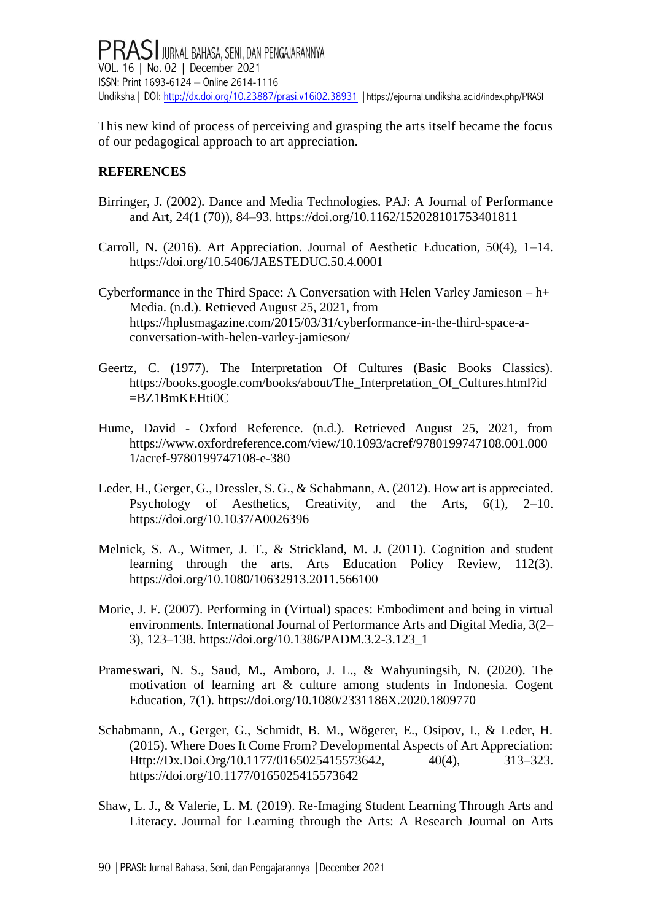This new kind of process of perceiving and grasping the arts itself became the focus of our pedagogical approach to art appreciation.

# **REFERENCES**

- Birringer, J. (2002). Dance and Media Technologies. PAJ: A Journal of Performance and Art, 24(1 (70)), 84–93.<https://doi.org/10.1162/152028101753401811>
- Carroll, N. (2016). Art Appreciation. Journal of Aesthetic Education, 50(4), 1–14. <https://doi.org/10.5406/JAESTEDUC.50.4.0001>
- Cyberformance in the Third Space: A Conversation with Helen Varley Jamieson h+ Media. (n.d.). Retrieved August 25, 2021, from [https://hplusmagazine.com/2015/03/31/cyberformance-in-the-third-space-a](https://hplusmagazine.com/2015/03/31/cyberformance-in-the-third-space-a-conversation-with-helen-varley-jamieson/)[conversation-with-helen-varley-jamieson/](https://hplusmagazine.com/2015/03/31/cyberformance-in-the-third-space-a-conversation-with-helen-varley-jamieson/)
- Geertz, C. (1977). The Interpretation Of Cultures (Basic Books Classics). [https://books.google.com/books/about/The\\_Interpretation\\_Of\\_Cultures.html?id](https://books.google.com/books/about/The_Interpretation_Of_Cultures.html?id=BZ1BmKEHti0C) [=BZ1BmKEHti0C](https://books.google.com/books/about/The_Interpretation_Of_Cultures.html?id=BZ1BmKEHti0C)
- Hume, David Oxford Reference. (n.d.). Retrieved August 25, 2021, from [https://www.oxfordreference.com/view/10.1093/acref/9780199747108.001.000](https://www.oxfordreference.com/view/10.1093/acref/9780199747108.001.0001/acref-9780199747108-e-380) [1/acref-9780199747108-e-380](https://www.oxfordreference.com/view/10.1093/acref/9780199747108.001.0001/acref-9780199747108-e-380)
- Leder, H., Gerger, G., Dressler, S. G., & Schabmann, A. (2012). How art is appreciated. Psychology of Aesthetics, Creativity, and the Arts, 6(1), 2–10. <https://doi.org/10.1037/A0026396>
- Melnick, S. A., Witmer, J. T., & Strickland, M. J. (2011). Cognition and student learning through the arts. Arts Education Policy Review, 112(3). <https://doi.org/10.1080/10632913.2011.566100>
- Morie, J. F. (2007). Performing in (Virtual) spaces: Embodiment and being in virtual environments. International Journal of Performance Arts and Digital Media, 3(2– 3), 123–138. [https://doi.org/10.1386/PADM.3.2-3.123\\_1](https://doi.org/10.1386/PADM.3.2-3.123_1)
- Prameswari, N. S., Saud, M., Amboro, J. L., & Wahyuningsih, N. (2020). The motivation of learning art & culture among students in Indonesia. Cogent Education, 7(1).<https://doi.org/10.1080/2331186X.2020.1809770>
- Schabmann, A., Gerger, G., Schmidt, B. M., Wögerer, E., Osipov, I., & Leder, H. (2015). Where Does It Come From? Developmental Aspects of Art Appreciation: Http://Dx.Doi.Org/10.1177/0165025415573642, 40(4), 313–323. <https://doi.org/10.1177/0165025415573642>
- Shaw, L. J., & Valerie, L. M. (2019). Re-Imaging Student Learning Through Arts and Literacy. Journal for Learning through the Arts: A Research Journal on Arts